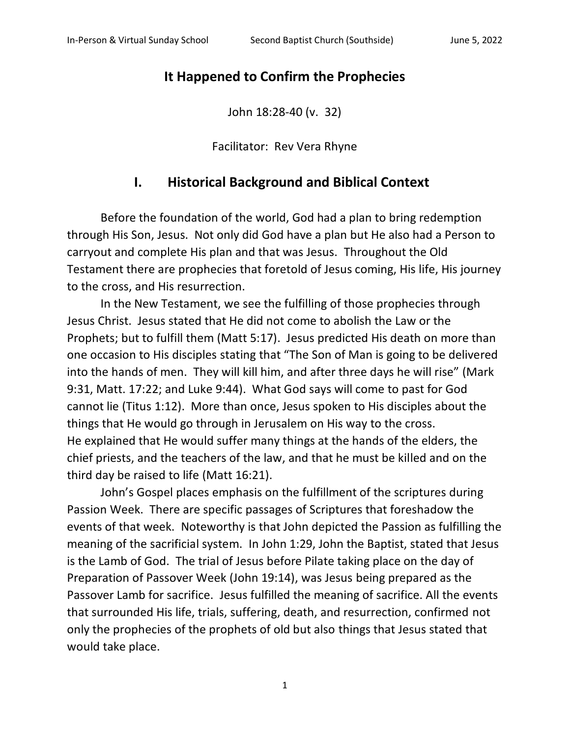## **It Happened to Confirm the Prophecies**

John 18:28-40 (v. 32)

Facilitator: Rev Vera Rhyne

## **I. Historical Background and Biblical Context**

Before the foundation of the world, God had a plan to bring redemption through His Son, Jesus. Not only did God have a plan but He also had a Person to carryout and complete His plan and that was Jesus. Throughout the Old Testament there are prophecies that foretold of Jesus coming, His life, His journey to the cross, and His resurrection.

In the New Testament, we see the fulfilling of those prophecies through Jesus Christ. Jesus stated that He did not come to abolish the Law or the Prophets; but to fulfill them (Matt 5:17). Jesus predicted His death on more than one occasion to His disciples stating that "The Son of Man is going to be delivered into the hands of men. They will kill him, and after three days he will rise" (Mark 9:31, Matt. 17:22; and Luke 9:44). What God says will come to past for God cannot lie (Titus 1:12). More than once, Jesus spoken to His disciples about the things that He would go through in Jerusalem on His way to the cross. He explained that He would suffer many things at the hands of the elders, the chief priests, and the teachers of the law, and that he must be killed and on the third day be raised to life (Matt 16:21).

John's Gospel places emphasis on the fulfillment of the scriptures during Passion Week. There are specific passages of Scriptures that foreshadow the events of that week. Noteworthy is that John depicted the Passion as fulfilling the meaning of the sacrificial system. In John 1:29, John the Baptist, stated that Jesus is the Lamb of God. The trial of Jesus before Pilate taking place on the day of Preparation of Passover Week (John 19:14), was Jesus being prepared as the Passover Lamb for sacrifice. Jesus fulfilled the meaning of sacrifice. All the events that surrounded His life, trials, suffering, death, and resurrection, confirmed not only the prophecies of the prophets of old but also things that Jesus stated that would take place.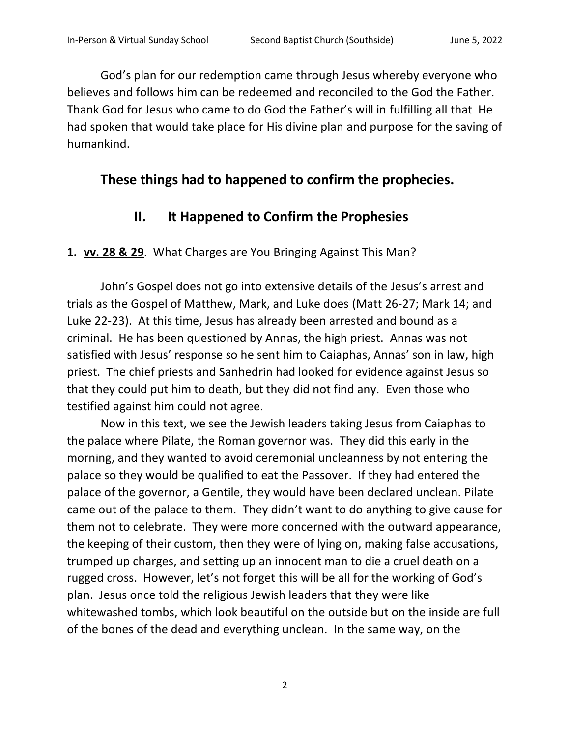God's plan for our redemption came through Jesus whereby everyone who believes and follows him can be redeemed and reconciled to the God the Father. Thank God for Jesus who came to do God the Father's will in fulfilling all that He had spoken that would take place for His divine plan and purpose for the saving of humankind.

# **These things had to happened to confirm the prophecies.**

# **II. It Happened to Confirm the Prophesies**

**1. vv. 28 & 29**. What Charges are You Bringing Against This Man?

John's Gospel does not go into extensive details of the Jesus's arrest and trials as the Gospel of Matthew, Mark, and Luke does (Matt 26-27; Mark 14; and Luke 22-23). At this time, Jesus has already been arrested and bound as a criminal. He has been questioned by Annas, the high priest. Annas was not satisfied with Jesus' response so he sent him to Caiaphas, Annas' son in law, high priest. The chief priests and Sanhedrin had looked for evidence against Jesus so that they could put him to death, but they did not find any. Even those who testified against him could not agree.

Now in this text, we see the Jewish leaders taking Jesus from Caiaphas to the palace where Pilate, the Roman governor was. They did this early in the morning, and they wanted to avoid ceremonial uncleanness by not entering the palace so they would be qualified to eat the Passover. If they had entered the palace of the governor, a Gentile, they would have been declared unclean. Pilate came out of the palace to them. They didn't want to do anything to give cause for them not to celebrate. They were more concerned with the outward appearance, the keeping of their custom, then they were of lying on, making false accusations, trumped up charges, and setting up an innocent man to die a cruel death on a rugged cross. However, let's not forget this will be all for the working of God's plan. Jesus once told the religious Jewish leaders that they were like whitewashed tombs, which look beautiful on the outside but on the inside are full of the bones of the dead and everything unclean. In the same way, on the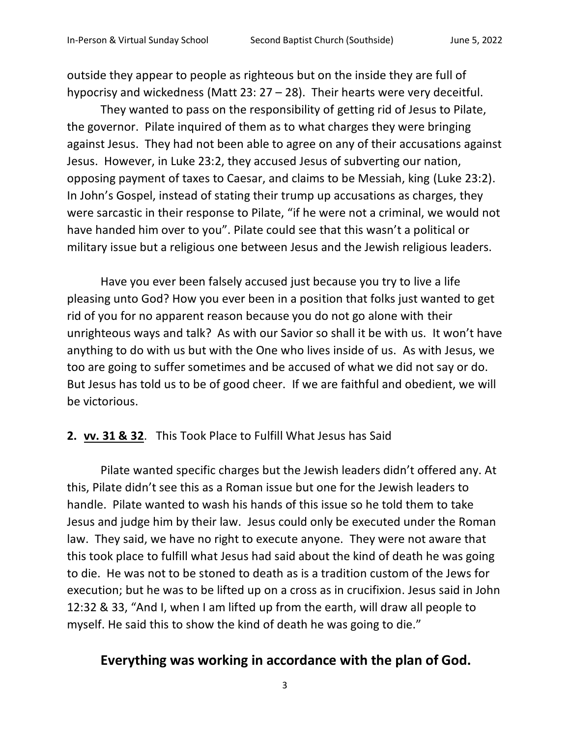outside they appear to people as righteous but on the inside they are full of hypocrisy and wickedness (Matt 23: 27 – 28). Their hearts were very deceitful.

They wanted to pass on the responsibility of getting rid of Jesus to Pilate, the governor. Pilate inquired of them as to what charges they were bringing against Jesus. They had not been able to agree on any of their accusations against Jesus. However, in Luke 23:2, they accused Jesus of subverting our nation, opposing payment of taxes to Caesar, and claims to be Messiah, king (Luke 23:2). In John's Gospel, instead of stating their trump up accusations as charges, they were sarcastic in their response to Pilate, "if he were not a criminal, we would not have handed him over to you". Pilate could see that this wasn't a political or military issue but a religious one between Jesus and the Jewish religious leaders.

Have you ever been falsely accused just because you try to live a life pleasing unto God? How you ever been in a position that folks just wanted to get rid of you for no apparent reason because you do not go alone with their unrighteous ways and talk? As with our Savior so shall it be with us. It won't have anything to do with us but with the One who lives inside of us. As with Jesus, we too are going to suffer sometimes and be accused of what we did not say or do. But Jesus has told us to be of good cheer. If we are faithful and obedient, we will be victorious.

#### **2. vv. 31 & 32**. This Took Place to Fulfill What Jesus has Said

Pilate wanted specific charges but the Jewish leaders didn't offered any. At this, Pilate didn't see this as a Roman issue but one for the Jewish leaders to handle. Pilate wanted to wash his hands of this issue so he told them to take Jesus and judge him by their law. Jesus could only be executed under the Roman law. They said, we have no right to execute anyone. They were not aware that this took place to fulfill what Jesus had said about the kind of death he was going to die. He was not to be stoned to death as is a tradition custom of the Jews for execution; but he was to be lifted up on a cross as in crucifixion. Jesus said in John 12:32 & 33, "And I, when I am lifted up from the earth, will draw all people to myself. He said this to show the kind of death he was going to die."

### **Everything was working in accordance with the plan of God.**

3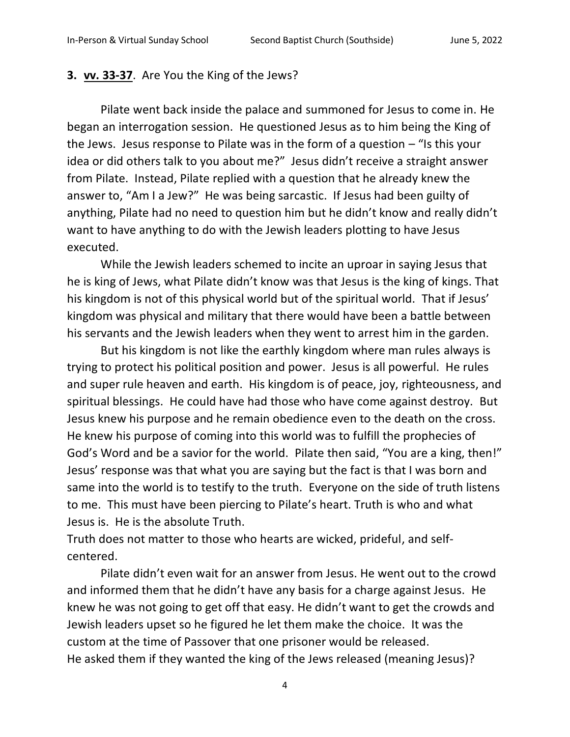#### **3. vv. 33-37**. Are You the King of the Jews?

Pilate went back inside the palace and summoned for Jesus to come in. He began an interrogation session. He questioned Jesus as to him being the King of the Jews. Jesus response to Pilate was in the form of a question  $-$  "Is this your idea or did others talk to you about me?" Jesus didn't receive a straight answer from Pilate. Instead, Pilate replied with a question that he already knew the answer to, "Am I a Jew?" He was being sarcastic. If Jesus had been guilty of anything, Pilate had no need to question him but he didn't know and really didn't want to have anything to do with the Jewish leaders plotting to have Jesus executed.

While the Jewish leaders schemed to incite an uproar in saying Jesus that he is king of Jews, what Pilate didn't know was that Jesus is the king of kings. That his kingdom is not of this physical world but of the spiritual world. That if Jesus' kingdom was physical and military that there would have been a battle between his servants and the Jewish leaders when they went to arrest him in the garden.

But his kingdom is not like the earthly kingdom where man rules always is trying to protect his political position and power. Jesus is all powerful. He rules and super rule heaven and earth. His kingdom is of peace, joy, righteousness, and spiritual blessings. He could have had those who have come against destroy. But Jesus knew his purpose and he remain obedience even to the death on the cross. He knew his purpose of coming into this world was to fulfill the prophecies of God's Word and be a savior for the world. Pilate then said, "You are a king, then!" Jesus' response was that what you are saying but the fact is that I was born and same into the world is to testify to the truth. Everyone on the side of truth listens to me. This must have been piercing to Pilate's heart. Truth is who and what Jesus is. He is the absolute Truth.

Truth does not matter to those who hearts are wicked, prideful, and selfcentered.

Pilate didn't even wait for an answer from Jesus. He went out to the crowd and informed them that he didn't have any basis for a charge against Jesus. He knew he was not going to get off that easy. He didn't want to get the crowds and Jewish leaders upset so he figured he let them make the choice. It was the custom at the time of Passover that one prisoner would be released. He asked them if they wanted the king of the Jews released (meaning Jesus)?

4